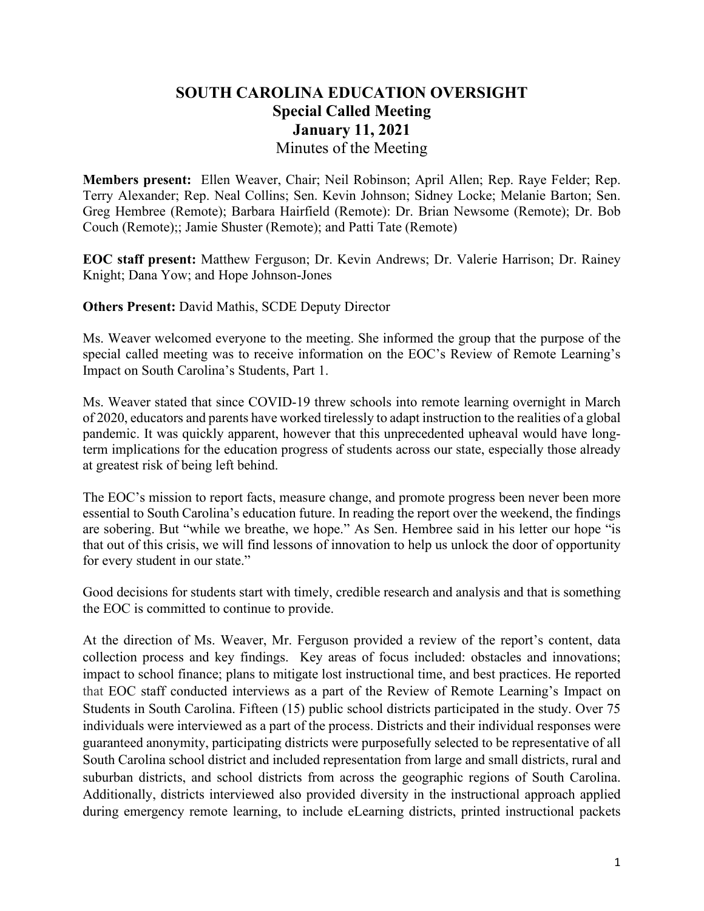# **SOUTH CAROLINA EDUCATION OVERSIGHT Special Called Meeting January 11, 2021** Minutes of the Meeting

**Members present:** Ellen Weaver, Chair; Neil Robinson; April Allen; Rep. Raye Felder; Rep. Terry Alexander; Rep. Neal Collins; Sen. Kevin Johnson; Sidney Locke; Melanie Barton; Sen. Greg Hembree (Remote); Barbara Hairfield (Remote): Dr. Brian Newsome (Remote); Dr. Bob Couch (Remote);; Jamie Shuster (Remote); and Patti Tate (Remote)

**EOC staff present:** Matthew Ferguson; Dr. Kevin Andrews; Dr. Valerie Harrison; Dr. Rainey Knight; Dana Yow; and Hope Johnson-Jones

**Others Present:** David Mathis, SCDE Deputy Director

Ms. Weaver welcomed everyone to the meeting. She informed the group that the purpose of the special called meeting was to receive information on the EOC's Review of Remote Learning's Impact on South Carolina's Students, Part 1.

Ms. Weaver stated that since COVID-19 threw schools into remote learning overnight in March of 2020, educators and parents have worked tirelessly to adapt instruction to the realities of a global pandemic. It was quickly apparent, however that this unprecedented upheaval would have longterm implications for the education progress of students across our state, especially those already at greatest risk of being left behind.

The EOC's mission to report facts, measure change, and promote progress been never been more essential to South Carolina's education future. In reading the report over the weekend, the findings are sobering. But "while we breathe, we hope." As Sen. Hembree said in his letter our hope "is that out of this crisis, we will find lessons of innovation to help us unlock the door of opportunity for every student in our state."

Good decisions for students start with timely, credible research and analysis and that is something the EOC is committed to continue to provide.

At the direction of Ms. Weaver, Mr. Ferguson provided a review of the report's content, data collection process and key findings. Key areas of focus included: obstacles and innovations; impact to school finance; plans to mitigate lost instructional time, and best practices. He reported that EOC staff conducted interviews as a part of the Review of Remote Learning's Impact on Students in South Carolina. Fifteen (15) public school districts participated in the study. Over 75 individuals were interviewed as a part of the process. Districts and their individual responses were guaranteed anonymity, participating districts were purposefully selected to be representative of all South Carolina school district and included representation from large and small districts, rural and suburban districts, and school districts from across the geographic regions of South Carolina. Additionally, districts interviewed also provided diversity in the instructional approach applied during emergency remote learning, to include eLearning districts, printed instructional packets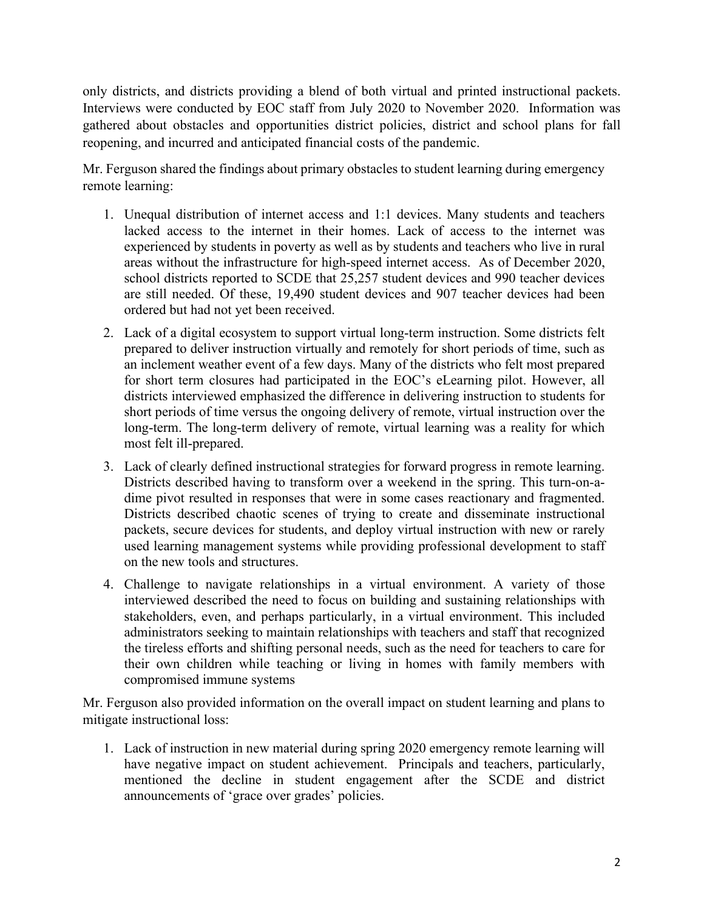only districts, and districts providing a blend of both virtual and printed instructional packets. Interviews were conducted by EOC staff from July 2020 to November 2020. Information was gathered about obstacles and opportunities district policies, district and school plans for fall reopening, and incurred and anticipated financial costs of the pandemic.

Mr. Ferguson shared the findings about primary obstacles to student learning during emergency remote learning:

- 1. Unequal distribution of internet access and 1:1 devices. Many students and teachers lacked access to the internet in their homes. Lack of access to the internet was experienced by students in poverty as well as by students and teachers who live in rural areas without the infrastructure for high-speed internet access. As of December 2020, school districts reported to SCDE that 25,257 student devices and 990 teacher devices are still needed. Of these, 19,490 student devices and 907 teacher devices had been ordered but had not yet been received.
- 2. Lack of a digital ecosystem to support virtual long-term instruction. Some districts felt prepared to deliver instruction virtually and remotely for short periods of time, such as an inclement weather event of a few days. Many of the districts who felt most prepared for short term closures had participated in the EOC's eLearning pilot. However, all districts interviewed emphasized the difference in delivering instruction to students for short periods of time versus the ongoing delivery of remote, virtual instruction over the long-term. The long-term delivery of remote, virtual learning was a reality for which most felt ill-prepared.
- 3. Lack of clearly defined instructional strategies for forward progress in remote learning. Districts described having to transform over a weekend in the spring. This turn-on-adime pivot resulted in responses that were in some cases reactionary and fragmented. Districts described chaotic scenes of trying to create and disseminate instructional packets, secure devices for students, and deploy virtual instruction with new or rarely used learning management systems while providing professional development to staff on the new tools and structures.
- 4. Challenge to navigate relationships in a virtual environment. A variety of those interviewed described the need to focus on building and sustaining relationships with stakeholders, even, and perhaps particularly, in a virtual environment. This included administrators seeking to maintain relationships with teachers and staff that recognized the tireless efforts and shifting personal needs, such as the need for teachers to care for their own children while teaching or living in homes with family members with compromised immune systems

Mr. Ferguson also provided information on the overall impact on student learning and plans to mitigate instructional loss:

1. Lack of instruction in new material during spring 2020 emergency remote learning will have negative impact on student achievement. Principals and teachers, particularly, mentioned the decline in student engagement after the SCDE and district announcements of 'grace over grades' policies.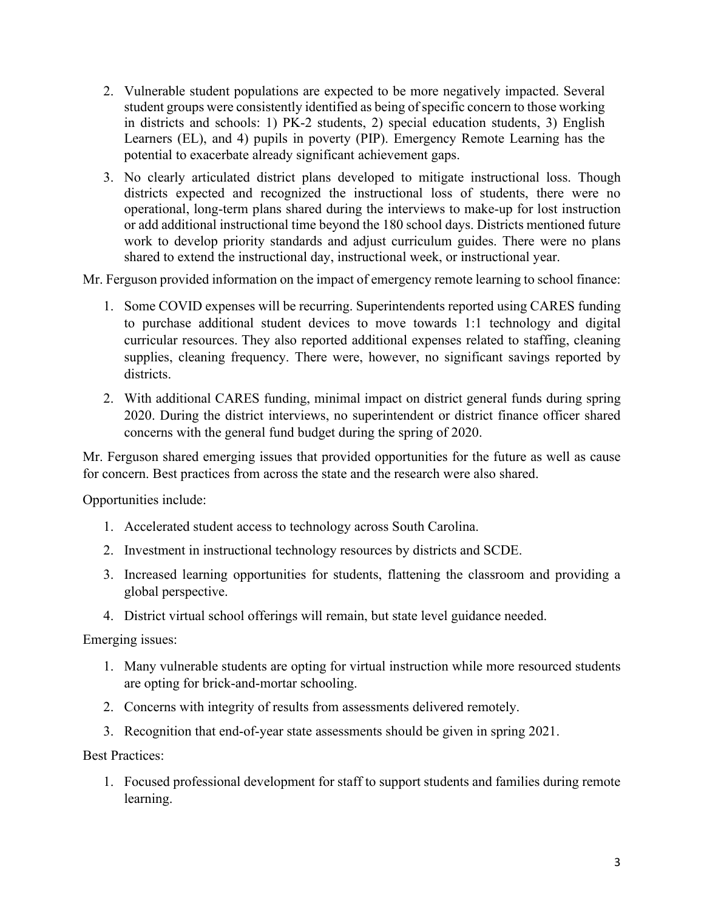- 2. Vulnerable student populations are expected to be more negatively impacted. Several student groups were consistently identified as being of specific concern to those working in districts and schools: 1) PK-2 students, 2) special education students, 3) English Learners (EL), and 4) pupils in poverty (PIP). Emergency Remote Learning has the potential to exacerbate already significant achievement gaps.
- 3. No clearly articulated district plans developed to mitigate instructional loss. Though districts expected and recognized the instructional loss of students, there were no operational, long-term plans shared during the interviews to make-up for lost instruction or add additional instructional time beyond the 180 school days. Districts mentioned future work to develop priority standards and adjust curriculum guides. There were no plans shared to extend the instructional day, instructional week, or instructional year.

Mr. Ferguson provided information on the impact of emergency remote learning to school finance:

- 1. Some COVID expenses will be recurring. Superintendents reported using CARES funding to purchase additional student devices to move towards 1:1 technology and digital curricular resources. They also reported additional expenses related to staffing, cleaning supplies, cleaning frequency. There were, however, no significant savings reported by districts.
- 2. With additional CARES funding, minimal impact on district general funds during spring 2020. During the district interviews, no superintendent or district finance officer shared concerns with the general fund budget during the spring of 2020.

Mr. Ferguson shared emerging issues that provided opportunities for the future as well as cause for concern. Best practices from across the state and the research were also shared.

Opportunities include:

- 1. Accelerated student access to technology across South Carolina.
- 2. Investment in instructional technology resources by districts and SCDE.
- 3. Increased learning opportunities for students, flattening the classroom and providing a global perspective.
- 4. District virtual school offerings will remain, but state level guidance needed.

Emerging issues:

- 1. Many vulnerable students are opting for virtual instruction while more resourced students are opting for brick-and-mortar schooling.
- 2. Concerns with integrity of results from assessments delivered remotely.
- 3. Recognition that end-of-year state assessments should be given in spring 2021.

Best Practices:

1. Focused professional development for staff to support students and families during remote learning.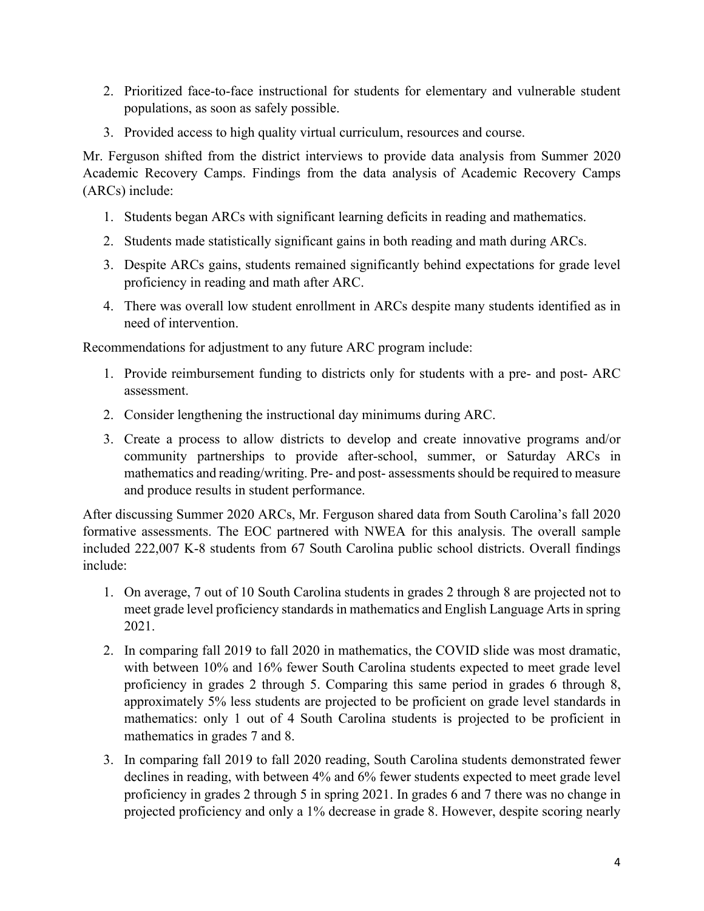- 2. Prioritized face-to-face instructional for students for elementary and vulnerable student populations, as soon as safely possible.
- 3. Provided access to high quality virtual curriculum, resources and course.

Mr. Ferguson shifted from the district interviews to provide data analysis from Summer 2020 Academic Recovery Camps. Findings from the data analysis of Academic Recovery Camps (ARCs) include:

- 1. Students began ARCs with significant learning deficits in reading and mathematics.
- 2. Students made statistically significant gains in both reading and math during ARCs.
- 3. Despite ARCs gains, students remained significantly behind expectations for grade level proficiency in reading and math after ARC.
- 4. There was overall low student enrollment in ARCs despite many students identified as in need of intervention.

Recommendations for adjustment to any future ARC program include:

- 1. Provide reimbursement funding to districts only for students with a pre- and post- ARC assessment.
- 2. Consider lengthening the instructional day minimums during ARC.
- 3. Create a process to allow districts to develop and create innovative programs and/or community partnerships to provide after-school, summer, or Saturday ARCs in mathematics and reading/writing. Pre- and post- assessments should be required to measure and produce results in student performance.

After discussing Summer 2020 ARCs, Mr. Ferguson shared data from South Carolina's fall 2020 formative assessments. The EOC partnered with NWEA for this analysis. The overall sample included 222,007 K-8 students from 67 South Carolina public school districts. Overall findings include:

- 1. On average, 7 out of 10 South Carolina students in grades 2 through 8 are projected not to meet grade level proficiency standards in mathematics and English Language Arts in spring 2021.
- 2. In comparing fall 2019 to fall 2020 in mathematics, the COVID slide was most dramatic, with between 10% and 16% fewer South Carolina students expected to meet grade level proficiency in grades 2 through 5. Comparing this same period in grades 6 through 8, approximately 5% less students are projected to be proficient on grade level standards in mathematics: only 1 out of 4 South Carolina students is projected to be proficient in mathematics in grades 7 and 8.
- 3. In comparing fall 2019 to fall 2020 reading, South Carolina students demonstrated fewer declines in reading, with between 4% and 6% fewer students expected to meet grade level proficiency in grades 2 through 5 in spring 2021. In grades 6 and 7 there was no change in projected proficiency and only a 1% decrease in grade 8. However, despite scoring nearly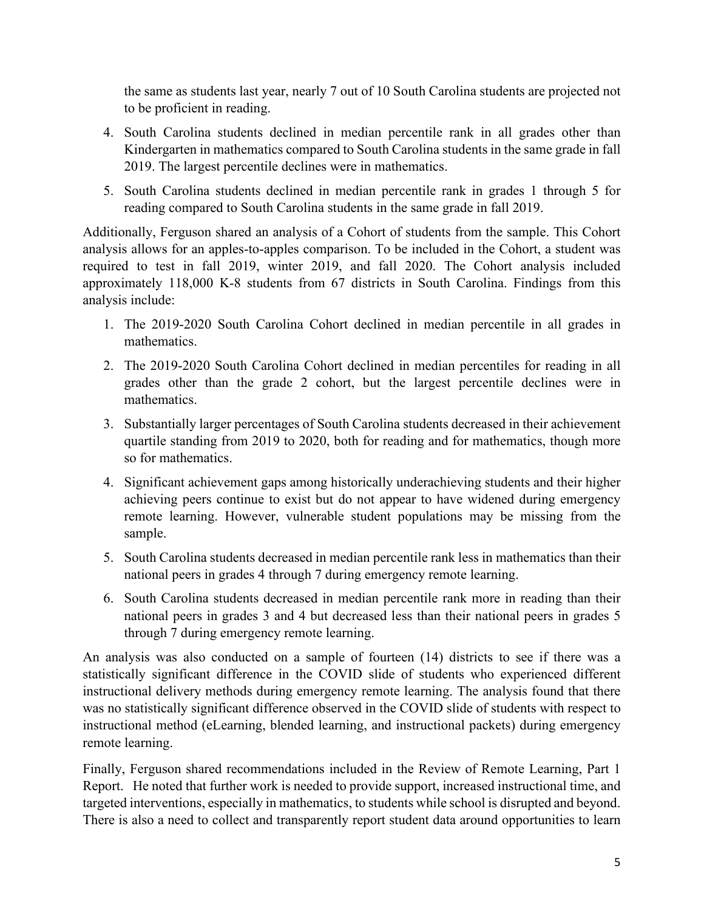the same as students last year, nearly 7 out of 10 South Carolina students are projected not to be proficient in reading.

- 4. South Carolina students declined in median percentile rank in all grades other than Kindergarten in mathematics compared to South Carolina students in the same grade in fall 2019. The largest percentile declines were in mathematics.
- 5. South Carolina students declined in median percentile rank in grades 1 through 5 for reading compared to South Carolina students in the same grade in fall 2019.

Additionally, Ferguson shared an analysis of a Cohort of students from the sample. This Cohort analysis allows for an apples-to-apples comparison. To be included in the Cohort, a student was required to test in fall 2019, winter 2019, and fall 2020. The Cohort analysis included approximately 118,000 K-8 students from 67 districts in South Carolina. Findings from this analysis include:

- 1. The 2019-2020 South Carolina Cohort declined in median percentile in all grades in mathematics.
- 2. The 2019-2020 South Carolina Cohort declined in median percentiles for reading in all grades other than the grade 2 cohort, but the largest percentile declines were in mathematics.
- 3. Substantially larger percentages of South Carolina students decreased in their achievement quartile standing from 2019 to 2020, both for reading and for mathematics, though more so for mathematics.
- 4. Significant achievement gaps among historically underachieving students and their higher achieving peers continue to exist but do not appear to have widened during emergency remote learning. However, vulnerable student populations may be missing from the sample.
- 5. South Carolina students decreased in median percentile rank less in mathematics than their national peers in grades 4 through 7 during emergency remote learning.
- 6. South Carolina students decreased in median percentile rank more in reading than their national peers in grades 3 and 4 but decreased less than their national peers in grades 5 through 7 during emergency remote learning.

An analysis was also conducted on a sample of fourteen (14) districts to see if there was a statistically significant difference in the COVID slide of students who experienced different instructional delivery methods during emergency remote learning. The analysis found that there was no statistically significant difference observed in the COVID slide of students with respect to instructional method (eLearning, blended learning, and instructional packets) during emergency remote learning.

Finally, Ferguson shared recommendations included in the Review of Remote Learning, Part 1 Report. He noted that further work is needed to provide support, increased instructional time, and targeted interventions, especially in mathematics, to students while school is disrupted and beyond. There is also a need to collect and transparently report student data around opportunities to learn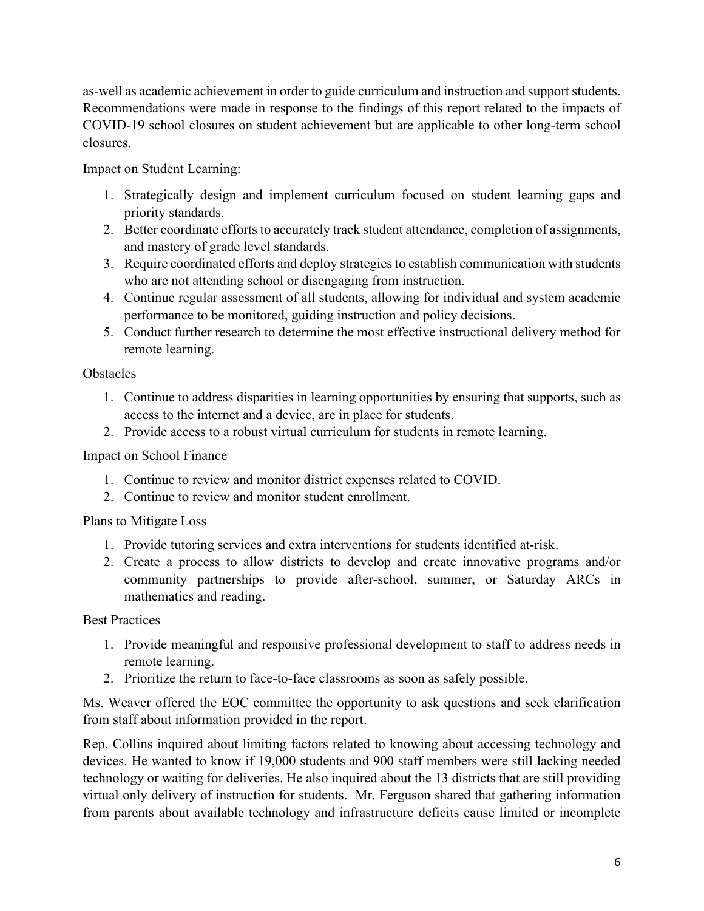as-well as academic achievement in order to guide curriculum and instruction and support students. Recommendations were made in response to the findings of this report related to the impacts of COVID-19 school closures on student achievement but are applicable to other long-term school closures.

Impact on Student Learning:

- 1. Strategically design and implement curriculum focused on student learning gaps and priority standards.
- 2. Better coordinate efforts to accurately track student attendance, completion of assignments, and mastery of grade level standards.
- 3. Require coordinated efforts and deploy strategies to establish communication with students who are not attending school or disengaging from instruction.
- 4. Continue regular assessment of all students, allowing for individual and system academic performance to be monitored, guiding instruction and policy decisions.
- 5. Conduct further research to determine the most effective instructional delivery method for remote learning.

## **Obstacles**

- 1. Continue to address disparities in learning opportunities by ensuring that supports, such as access to the internet and a device, are in place for students.
- 2. Provide access to a robust virtual curriculum for students in remote learning.

## Impact on School Finance

- 1. Continue to review and monitor district expenses related to COVID.
- 2. Continue to review and monitor student enrollment.

## Plans to Mitigate Loss

- 1. Provide tutoring services and extra interventions for students identified at-risk.
- 2. Create a process to allow districts to develop and create innovative programs and/or community partnerships to provide after-school, summer, or Saturday ARCs in mathematics and reading.

## Best Practices

- 1. Provide meaningful and responsive professional development to staff to address needs in remote learning.
- 2. Prioritize the return to face-to-face classrooms as soon as safely possible.

Ms. Weaver offered the EOC committee the opportunity to ask questions and seek clarification from staff about information provided in the report.

Rep. Collins inquired about limiting factors related to knowing about accessing technology and devices. He wanted to know if 19,000 students and 900 staff members were still lacking needed technology or waiting for deliveries. He also inquired about the 13 districts that are still providing virtual only delivery of instruction for students. Mr. Ferguson shared that gathering information from parents about available technology and infrastructure deficits cause limited or incomplete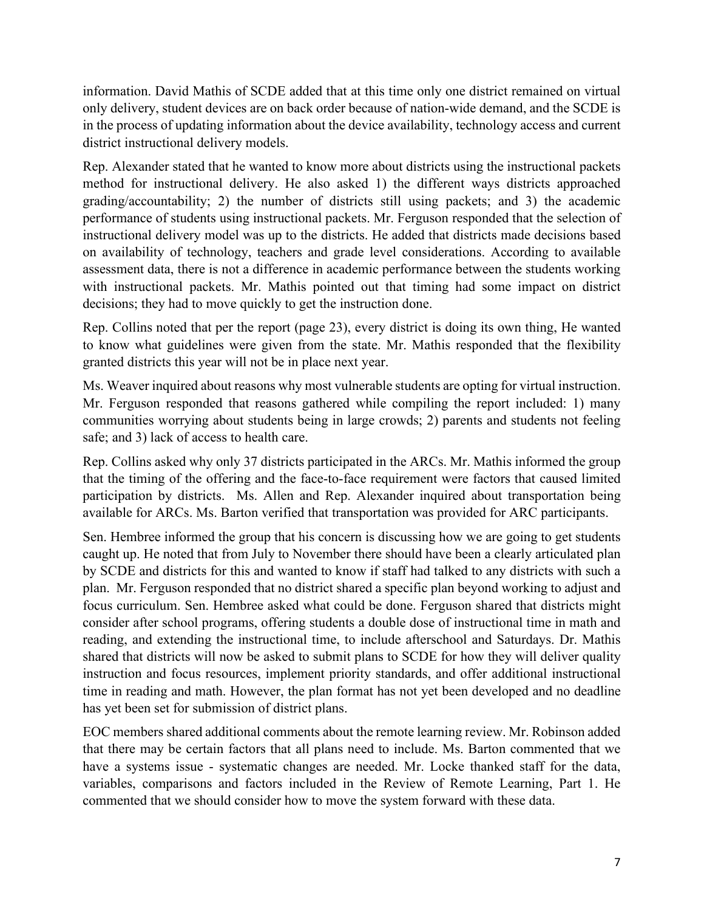information. David Mathis of SCDE added that at this time only one district remained on virtual only delivery, student devices are on back order because of nation-wide demand, and the SCDE is in the process of updating information about the device availability, technology access and current district instructional delivery models.

Rep. Alexander stated that he wanted to know more about districts using the instructional packets method for instructional delivery. He also asked 1) the different ways districts approached grading/accountability; 2) the number of districts still using packets; and 3) the academic performance of students using instructional packets. Mr. Ferguson responded that the selection of instructional delivery model was up to the districts. He added that districts made decisions based on availability of technology, teachers and grade level considerations. According to available assessment data, there is not a difference in academic performance between the students working with instructional packets. Mr. Mathis pointed out that timing had some impact on district decisions; they had to move quickly to get the instruction done.

Rep. Collins noted that per the report (page 23), every district is doing its own thing, He wanted to know what guidelines were given from the state. Mr. Mathis responded that the flexibility granted districts this year will not be in place next year.

Ms. Weaver inquired about reasons why most vulnerable students are opting for virtual instruction. Mr. Ferguson responded that reasons gathered while compiling the report included: 1) many communities worrying about students being in large crowds; 2) parents and students not feeling safe; and 3) lack of access to health care.

Rep. Collins asked why only 37 districts participated in the ARCs. Mr. Mathis informed the group that the timing of the offering and the face-to-face requirement were factors that caused limited participation by districts. Ms. Allen and Rep. Alexander inquired about transportation being available for ARCs. Ms. Barton verified that transportation was provided for ARC participants.

Sen. Hembree informed the group that his concern is discussing how we are going to get students caught up. He noted that from July to November there should have been a clearly articulated plan by SCDE and districts for this and wanted to know if staff had talked to any districts with such a plan. Mr. Ferguson responded that no district shared a specific plan beyond working to adjust and focus curriculum. Sen. Hembree asked what could be done. Ferguson shared that districts might consider after school programs, offering students a double dose of instructional time in math and reading, and extending the instructional time, to include afterschool and Saturdays. Dr. Mathis shared that districts will now be asked to submit plans to SCDE for how they will deliver quality instruction and focus resources, implement priority standards, and offer additional instructional time in reading and math. However, the plan format has not yet been developed and no deadline has yet been set for submission of district plans.

EOC members shared additional comments about the remote learning review. Mr. Robinson added that there may be certain factors that all plans need to include. Ms. Barton commented that we have a systems issue - systematic changes are needed. Mr. Locke thanked staff for the data, variables, comparisons and factors included in the Review of Remote Learning, Part 1. He commented that we should consider how to move the system forward with these data.